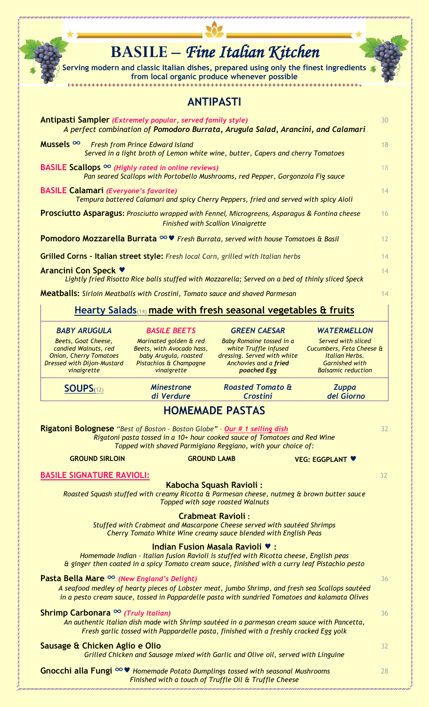|                                                                                                                                                | from local organic produce whenever possible                                                                          | <b>BASILE – Fine Italian Kitchen</b><br>Serving modern and classic Italian dishes, prepared using only the finest ingredients                                                                     |                                                                                                                        |    |
|------------------------------------------------------------------------------------------------------------------------------------------------|-----------------------------------------------------------------------------------------------------------------------|---------------------------------------------------------------------------------------------------------------------------------------------------------------------------------------------------|------------------------------------------------------------------------------------------------------------------------|----|
|                                                                                                                                                | <b>ANTIPASTI</b>                                                                                                      |                                                                                                                                                                                                   |                                                                                                                        |    |
| Antipasti Sampler (Extremely popular, served family style)<br>A perfect combination of Pomodoro Burrata, Arugula Salad, Arancini, and Calamari |                                                                                                                       |                                                                                                                                                                                                   |                                                                                                                        |    |
| Mussels $\infty$<br><b>Fresh from Prince Edward Island</b><br>Served in a light broth of Lemon white wine, butter, Capers and cherry Tomatoes  |                                                                                                                       |                                                                                                                                                                                                   |                                                                                                                        |    |
| BASILE Scallops $\infty$ (Highly rated in online reviews)<br>Pan seared Scallops with Portobello Mushrooms, red Pepper, Gorgonzola Fig sauce   |                                                                                                                       |                                                                                                                                                                                                   |                                                                                                                        |    |
| <b>BASILE Calamari (Everyone's favorite)</b>                                                                                                   |                                                                                                                       | Tempura battered Calamari and spicy Cherry Peppers, fried and served with spicy Aioli                                                                                                             |                                                                                                                        | 14 |
| Prosciutto Asparagus: Prosciutto wrapped with Fennel, Microgreens, Asparagus & Fontina cheese                                                  | <b>Finished with Scallion Vinaigrette</b>                                                                             |                                                                                                                                                                                                   |                                                                                                                        | 16 |
| Pomodoro Mozzarella Burrata ∞♥ Fresh Burrata, served with house Tomatoes & Basil                                                               |                                                                                                                       |                                                                                                                                                                                                   |                                                                                                                        | 12 |
|                                                                                                                                                |                                                                                                                       |                                                                                                                                                                                                   |                                                                                                                        | 14 |
| Grilled Corns - Italian street style: Fresh local Corn, grilled with Italian herbs<br><b>Arancini Con Speck ♥</b>                              |                                                                                                                       |                                                                                                                                                                                                   |                                                                                                                        |    |
|                                                                                                                                                |                                                                                                                       | Lightly fried Risotto Rice balls stuffed with Mozzarella; Served on a bed of thinly sliced Speck                                                                                                  |                                                                                                                        | 14 |
| Meatballs: Sirloin Meatballs with Crostini, Tomato sauce and shaved Parmesan                                                                   |                                                                                                                       |                                                                                                                                                                                                   |                                                                                                                        | 14 |
|                                                                                                                                                |                                                                                                                       | Hearty Salads <sub>(14)</sub> made with fresh seasonal vegetables & fruits                                                                                                                        |                                                                                                                        |    |
| <b>BABY ARUGULA</b>                                                                                                                            | <b>BASILE BEETS</b>                                                                                                   | <b>GREEN CAESAR</b>                                                                                                                                                                               | <b>WATERMELLON</b>                                                                                                     |    |
| Beets, Goat Cheese,<br>candied Walnuts, red<br><b>Onion, Cherry Tomatoes</b><br><b>Dressed with Dijon-Mustard</b><br>vinaigrette               | Marinated golden & red<br>Beets, with Avocado hass,<br>baby Arugula, roasted<br>Pistachios & Champagne<br>vinaigrette | <b>Baby Romaine tossed in a</b><br>white Truffle infused<br>dressing. Served with white<br>Anchovies and a fried<br>poached Egg                                                                   | Served with sliced<br>Cucumbers, Feta Cheese &<br>Italian Herbs.<br><b>Garnished with</b><br><b>Balsamic reduction</b> |    |
| SOUPS <sub>(12)</sub>                                                                                                                          | <b>Minestrone</b><br>di Verdure                                                                                       | <b>Roasted Tomato &amp;</b><br>Crostini                                                                                                                                                           | <b>Zuppa</b><br>del Giorno                                                                                             |    |
|                                                                                                                                                | <b>HOMEMADE PASTAS</b>                                                                                                |                                                                                                                                                                                                   |                                                                                                                        |    |
| <b>Rigatoni Bolognese</b> "Best of Boston - Boston Globe" - Our # 1 selling dish                                                               |                                                                                                                       | Rigatoni pasta tossed in a 10+ hour cooked sauce of Tomatoes and Red Wine<br>Topped with shaved Parmigiano Reggiano, with your choice of:                                                         |                                                                                                                        | 32 |
| <b>GROUND SIRLOIN</b>                                                                                                                          | <b>GROUND LAMB</b>                                                                                                    |                                                                                                                                                                                                   | <b>VEG: EGGPLANT V</b>                                                                                                 |    |
| <b>BASILE SIGNATURE RAVIOLI:</b>                                                                                                               |                                                                                                                       |                                                                                                                                                                                                   |                                                                                                                        | 32 |
|                                                                                                                                                | Kabocha Squash Ravioli:<br><b>Topped with sage roasted Walnuts</b>                                                    | Roasted Squash stuffed with creamy Ricotta & Parmesan cheese, nutmeg & brown butter sauce                                                                                                         |                                                                                                                        |    |
|                                                                                                                                                | <b>Crabmeat Ravioli:</b>                                                                                              | Stuffed with Crabmeat and Mascarpone Cheese served with sautéed Shrimps<br>Cherry Tomato White Wine creamy sauce blended with English Peas                                                        |                                                                                                                        |    |
|                                                                                                                                                | Indian Fusion Masala Ravioli ♥ :                                                                                      | Homemade Indian - Italian fusion Ravioli is stuffed with Ricotta cheese, English peas<br>& ginger then coated in a spicy Tomato cream sauce, finished with a curry leaf Pistachio pesto           |                                                                                                                        |    |
| Pasta Bella Mare $\infty$ (New England's Delight)                                                                                              |                                                                                                                       | A seafood medley of hearty pieces of Lobster meat, jumbo Shrimp, and fresh sea Scallops sautéed<br>in a pesto cream sauce, tossed in Pappardelle pasta with sundried Tomatoes and kalamata Olives |                                                                                                                        | 36 |
| Shrimp Carbonara ∞ (Truly Italian)                                                                                                             |                                                                                                                       | An authentic Italian dish made with Shrimp sautéed in a parmesan cream sauce with Pancetta,<br>Fresh garlic tossed with Pappardelle pasta, finished with a freshly cracked Egg yolk               |                                                                                                                        | 36 |
| Sausage & Chicken Aglio e Olio                                                                                                                 |                                                                                                                       | Grilled Chicken and Sausage mixed with Garlic and Olive oil, served with Linguine                                                                                                                 |                                                                                                                        | 32 |
| Gnocchi alla Fungi $\infty$ <i>M</i> Homemade Potato Dumplings tossed with seasonal Mushrooms                                                  |                                                                                                                       |                                                                                                                                                                                                   |                                                                                                                        | 28 |

282

*Finished with a touch of Truffle Oil & Truffle Cheese*